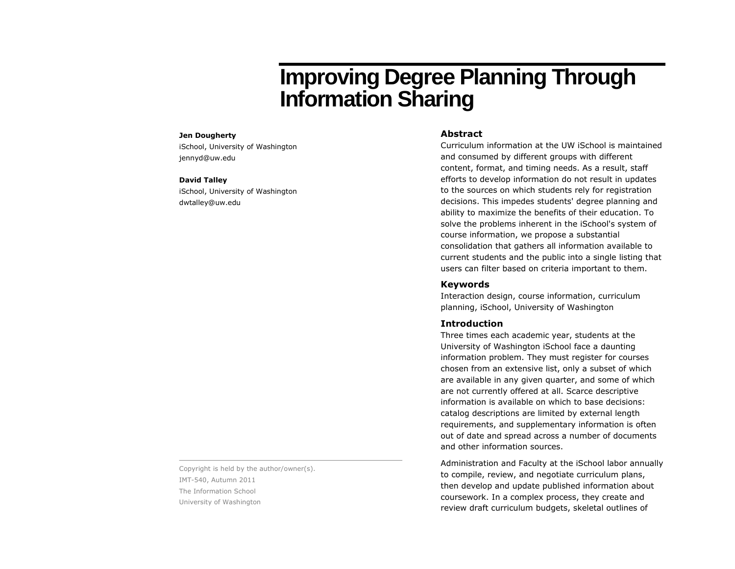# **Improving Degree Planning Through Information Sharing**

#### **Jen Dougherty**

iSchool, University of Washington jennyd@uw.edu

#### **David Talley**

iSchool, University of Washington dwtalley@uw.edu

Copyright is held by the author/owner(s). IMT-540, Autumn 2011 The Information School University of Washington

### **Abstract**

Curriculum information at the UW iSchool is maintained and consumed by different groups with different content, format, and timing needs. As a result, staff efforts to develop information do not result in updates to the sources on which students rely for registration decisions. This impedes students' degree planning and ability to maximize the benefits of their education. To solve the problems inherent in the iSchool's system of course information, we propose a substantial consolidation that gathers all information available to current students and the public into a single listing that users can filter based on criteria important to them.

#### **Keywords**

Interaction design, course information, curriculum planning, iSchool, University of Washington

#### **Introduction**

Three times each academic year, students at the University of Washington iSchool face a daunting information problem. They must register for courses chosen from an extensive list, only a subset of which are available in any given quarter, and some of which are not currently offered at all. Scarce descriptive information is available on which to base decisions: catalog descriptions are limited by external length requirements, and supplementary information is often out of date and spread across a number of documents and other information sources.

Administration and Faculty at the iSchool labor annually to compile, review, and negotiate curriculum plans, then develop and update published information about coursework. In a complex process, they create and review draft curriculum budgets, skeletal outlines of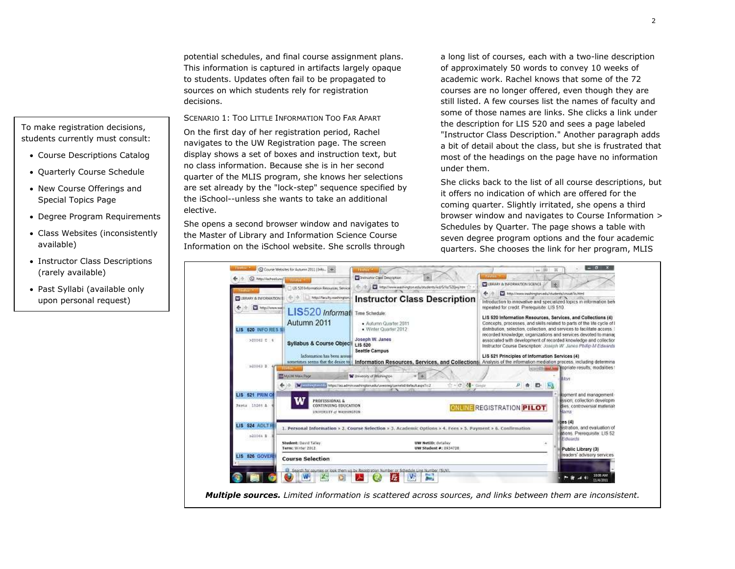potential schedules, and final course assignment plans. This information is captured in artifacts largely opaque to students. Updates often fail to be propagated to sources on which students rely for registration decisions.

SCENARIO 1: TOO LITTLE INFORMATION TOO FAR APART On the first day of her registration period, Rachel navigates to the UW Registration page. The screen display shows a set of boxes and instruction text, but no class information. Because she is in her second quarter of the MLIS program, she knows her selections are set already by the "lock-step" sequence specified by the iSchool--unless she wants to take an additional elective.

She opens a second browser window and navigates to the Master of Library and Information Science Course Information on the iSchool website. She scrolls through a long list of courses, each with a two-line description of approximately 50 words to convey 10 weeks of academic work. Rachel knows that some of the 72 courses are no longer offered, even though they are still listed. A few courses list the names of faculty and some of those names are links. She clicks a link under the description for LIS 520 and sees a page labeled "Instructor Class Description." Another paragraph adds a bit of detail about the class, but she is frustrated that most of the headings on the page have no information under them.

She clicks back to the list of all course descriptions, but it offers no indication of which are offered for the coming quarter. Slightly irritated, she opens a third browser window and navigates to Course Information > Schedules by Quarter. The page shows a table with seven degree program options and the four academic quarters. She chooses the link for her program, MLIS



## To make registration decisions, students currently must consult:

- Course Descriptions Catalog
- Quarterly Course Schedule
- New Course Offerings and Special Topics Page
- Degree Program Requirements
- Class Websites (inconsistently available)
- Instructor Class Descriptions (rarely available)
- Past Syllabi (available only upon personal request)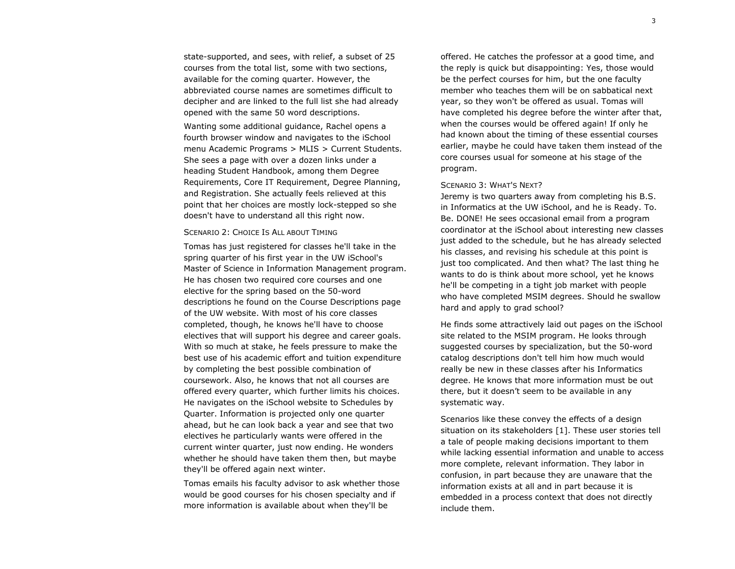state-supported, and sees, with relief, a subset of 25 courses from the total list, some with two sections, available for the coming quarter. However, the abbreviated course names are sometimes difficult to decipher and are linked to the full list she had already opened with the same 50 word descriptions.

Wanting some additional guidance, Rachel opens a fourth browser window and navigates to the iSchool menu Academic Programs > MLIS > Current Students. She sees a page with over a dozen links under a heading Student Handbook, among them Degree Requirements, Core IT Requirement, Degree Planning, and Registration. She actually feels relieved at this point that her choices are mostly lock-stepped so she doesn't have to understand all this right now.

#### SCENARIO 2: CHOICE IS ALL ABOUT TIMING

Tomas has just registered for classes he'll take in the spring quarter of his first year in the UW iSchool's Master of Science in Information Management program. He has chosen two required core courses and one elective for the spring based on the 50-word descriptions he found on the Course Descriptions page of the UW website. With most of his core classes completed, though, he knows he'll have to choose electives that will support his degree and career goals. With so much at stake, he feels pressure to make the best use of his academic effort and tuition expenditure by completing the best possible combination of coursework. Also, he knows that not all courses are offered every quarter, which further limits his choices. He navigates on the iSchool website to Schedules by Quarter. Information is projected only one quarter ahead, but he can look back a year and see that two electives he particularly wants were offered in the current winter quarter, just now ending. He wonders whether he should have taken them then, but maybe they'll be offered again next winter.

Tomas emails his faculty advisor to ask whether those would be good courses for his chosen specialty and if more information is available about when they'll be

offered. He catches the professor at a good time, and the reply is quick but disappointing: Yes, those would be the perfect courses for him, but the one faculty member who teaches them will be on sabbatical next year, so they won't be offered as usual. Tomas will have completed his degree before the winter after that, when the courses would be offered again! If only he had known about the timing of these essential courses earlier, maybe he could have taken them instead of the core courses usual for someone at his stage of the program.

#### SCENARIO 3: WHAT'S NEXT?

Jeremy is two quarters away from completing his B.S. in Informatics at the UW iSchool, and he is Ready. To. Be. DONE! He sees occasional email from a program coordinator at the iSchool about interesting new classes just added to the schedule, but he has already selected his classes, and revising his schedule at this point is just too complicated. And then what? The last thing he wants to do is think about more school, yet he knows he'll be competing in a tight job market with people who have completed MSIM degrees. Should he swallow hard and apply to grad school?

He finds some attractively laid out pages on the iSchool site related to the MSIM program. He looks through suggested courses by specialization, but the 50-word catalog descriptions don't tell him how much would really be new in these classes after his Informatics degree. He knows that more information must be out there, but it doesn't seem to be available in any systematic way.

Scenarios like these convey the effects of a design situation on its stakeholders [1]. These user stories tell a tale of people making decisions important to them while lacking essential information and unable to access more complete, relevant information. They labor in confusion, in part because they are unaware that the information exists at all and in part because it is embedded in a process context that does not directly include them.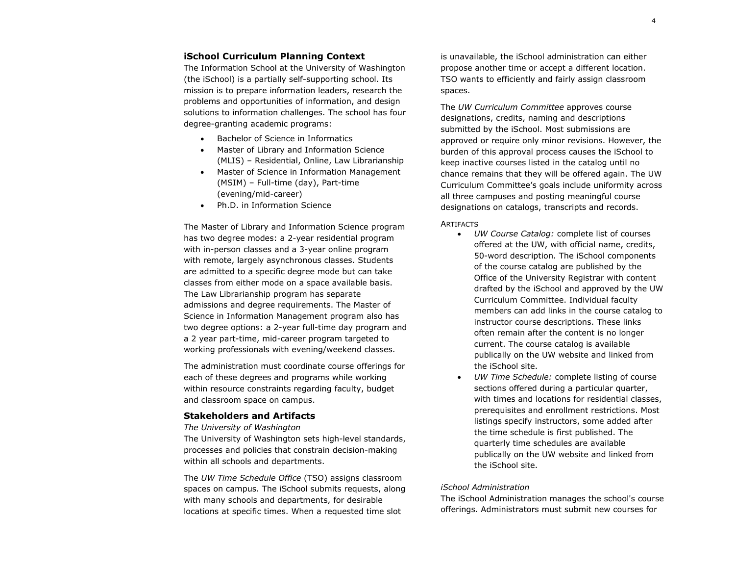#### **iSchool Curriculum Planning Context**

The Information School at the University of Washington (the iSchool) is a partially self-supporting school. Its mission is to prepare information leaders, research the problems and opportunities of information, and design solutions to information challenges. The school has four degree-granting academic programs:

- Bachelor of Science in Informatics
- Master of Library and Information Science (MLIS) – Residential, Online, Law Librarianship
- Master of Science in Information Management (MSIM) – Full-time (day), Part-time (evening/mid-career)
- Ph.D. in Information Science

The Master of Library and Information Science program has two degree modes: a 2-year residential program with in-person classes and a 3-year online program with remote, largely asynchronous classes. Students are admitted to a specific degree mode but can take classes from either mode on a space available basis. The Law Librarianship program has separate admissions and degree requirements. The Master of Science in Information Management program also has two degree options: a 2-year full-time day program and a 2 year part-time, mid-career program targeted to working professionals with evening/weekend classes.

The administration must coordinate course offerings for each of these degrees and programs while working within resource constraints regarding faculty, budget and classroom space on campus.

#### **Stakeholders and Artifacts**

#### *The University of Washington*

The University of Washington sets high-level standards, processes and policies that constrain decision-making within all schools and departments.

The *UW Time Schedule Office* (TSO) assigns classroom spaces on campus. The iSchool submits requests, along with many schools and departments, for desirable locations at specific times. When a requested time slot

is unavailable, the iSchool administration can either propose another time or accept a different location. TSO wants to efficiently and fairly assign classroom spaces.

The *UW Curriculum Committee* approves course designations, credits, naming and descriptions submitted by the iSchool. Most submissions are approved or require only minor revisions. However, the burden of this approval process causes the iSchool to keep inactive courses listed in the catalog until no chance remains that they will be offered again. The UW Curriculum Committee's goals include uniformity across all three campuses and posting meaningful course designations on catalogs, transcripts and records.

#### **ARTIFACTS**

- *UW Course Catalog:* complete list of courses offered at the UW, with official name, credits, 50-word description. The iSchool components of the course catalog are published by the Office of the University Registrar with content drafted by the iSchool and approved by the UW Curriculum Committee. Individual faculty members can add links in the course catalog to instructor course descriptions. These links often remain after the content is no longer current. The course catalog is available publically on the UW website and linked from the iSchool site.
- *UW Time Schedule:* complete listing of course sections offered during a particular quarter, with times and locations for residential classes, prerequisites and enrollment restrictions. Most listings specify instructors, some added after the time schedule is first published. The quarterly time schedules are available publically on the UW website and linked from the iSchool site.

#### *iSchool Administration*

The iSchool Administration manages the school's course offerings. Administrators must submit new courses for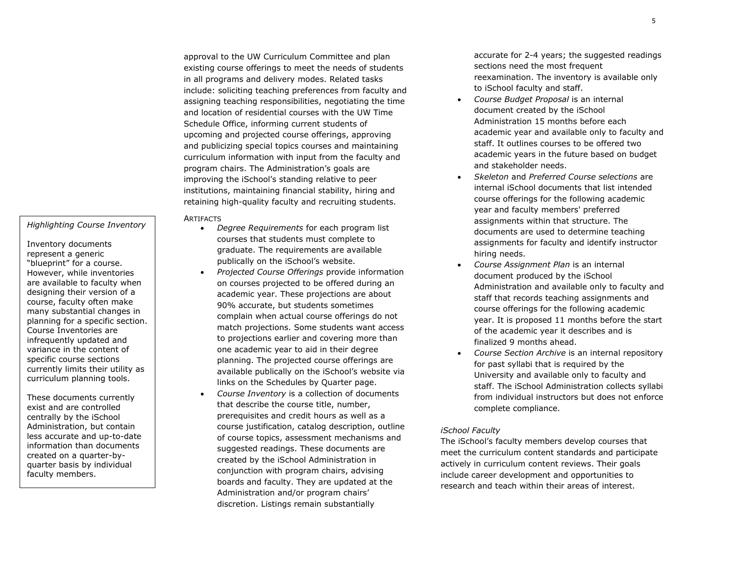*Highlighting Course Inventory*

Inventory documents represent a generic "blueprint" for a course. However, while inventories are available to faculty when designing their version of a course, faculty often make many substantial changes in planning for a specific section. Course Inventories are infrequently updated and variance in the content of specific course sections currently limits their utility as curriculum planning tools.

These documents currently exist and are controlled centrally by the iSchool Administration, but contain less accurate and up-to-date information than documents created on a quarter-byquarter basis by individual faculty members.

approval to the UW Curriculum Committee and plan existing course offerings to meet the needs of students in all programs and delivery modes. Related tasks include: soliciting teaching preferences from faculty and assigning teaching responsibilities, negotiating the time and location of residential courses with the UW Time Schedule Office, informing current students of upcoming and projected course offerings, approving and publicizing special topics courses and maintaining curriculum information with input from the faculty and program chairs. The Administration's goals are improving the iSchool's standing relative to peer institutions, maintaining financial stability, hiring and retaining high-quality faculty and recruiting students.

#### **ARTIFACTS**

- *Degree Requirements* for each program list courses that students must complete to graduate. The requirements are available publically on the iSchool's website.
- *Projected Course Offerings* provide information on courses projected to be offered during an academic year. These projections are about 90% accurate, but students sometimes complain when actual course offerings do not match projections. Some students want access to projections earlier and covering more than one academic year to aid in their degree planning. The projected course offerings are available publically on the iSchool's website via links on the Schedules by Quarter page.
- *Course Inventory* is a collection of documents that describe the course title, number, prerequisites and credit hours as well as a course justification, catalog description, outline of course topics, assessment mechanisms and suggested readings. These documents are created by the iSchool Administration in conjunction with program chairs, advising boards and faculty. They are updated at the Administration and/or program chairs' discretion. Listings remain substantially

accurate for 2-4 years; the suggested readings sections need the most frequent reexamination. The inventory is available only to iSchool faculty and staff.

- *Course Budget Proposal* is an internal document created by the iSchool Administration 15 months before each academic year and available only to faculty and staff. It outlines courses to be offered two academic years in the future based on budget and stakeholder needs.
- *Skeleton* and *Preferred Course selections* are internal iSchool documents that list intended course offerings for the following academic year and faculty members' preferred assignments within that structure. The documents are used to determine teaching assignments for faculty and identify instructor hiring needs.
- *Course Assignment Plan* is an internal document produced by the iSchool Administration and available only to faculty and staff that records teaching assignments and course offerings for the following academic year. It is proposed 11 months before the start of the academic year it describes and is finalized 9 months ahead.
- *Course Section Archive* is an internal repository for past syllabi that is required by the University and available only to faculty and staff. The iSchool Administration collects syllabi from individual instructors but does not enforce complete compliance.

#### *iSchool Faculty*

The iSchool's faculty members develop courses that meet the curriculum content standards and participate actively in curriculum content reviews. Their goals include career development and opportunities to research and teach within their areas of interest.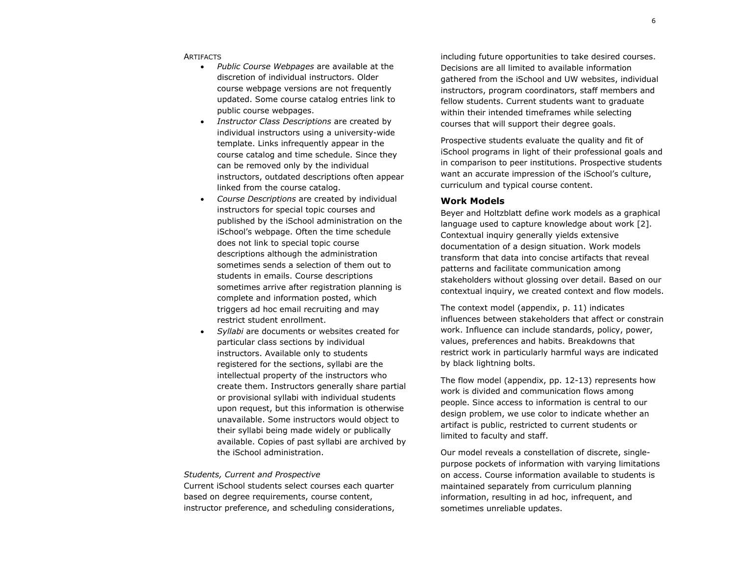#### **ARTIFACTS**

- *Public Course Webpages* are available at the discretion of individual instructors. Older course webpage versions are not frequently updated. Some course catalog entries link to public course webpages.
- *Instructor Class Descriptions* are created by individual instructors using a university-wide template. Links infrequently appear in the course catalog and time schedule. Since they can be removed only by the individual instructors, outdated descriptions often appear linked from the course catalog.
- *Course Descriptions* are created by individual instructors for special topic courses and published by the iSchool administration on the iSchool's webpage. Often the time schedule does not link to special topic course descriptions although the administration sometimes sends a selection of them out to students in emails. Course descriptions sometimes arrive after registration planning is complete and information posted, which triggers ad hoc email recruiting and may restrict student enrollment.
- *Syllabi* are documents or websites created for particular class sections by individual instructors. Available only to students registered for the sections, syllabi are the intellectual property of the instructors who create them. Instructors generally share partial or provisional syllabi with individual students upon request, but this information is otherwise unavailable. Some instructors would object to their syllabi being made widely or publically available. Copies of past syllabi are archived by the iSchool administration.

#### *Students, Current and Prospective*

Current iSchool students select courses each quarter based on degree requirements, course content, instructor preference, and scheduling considerations, including future opportunities to take desired courses. Decisions are all limited to available information gathered from the iSchool and UW websites, individual instructors, program coordinators, staff members and fellow students. Current students want to graduate within their intended timeframes while selecting courses that will support their degree goals.

Prospective students evaluate the quality and fit of iSchool programs in light of their professional goals and in comparison to peer institutions. Prospective students want an accurate impression of the iSchool's culture, curriculum and typical course content.

#### **Work Models**

Beyer and Holtzblatt define work models as a graphical language used to capture knowledge about work [2]. Contextual inquiry generally yields extensive documentation of a design situation. Work models transform that data into concise artifacts that reveal patterns and facilitate communication among stakeholders without glossing over detail. Based on our contextual inquiry, we created context and flow models.

The context model (appendix, p. 11) indicates influences between stakeholders that affect or constrain work. Influence can include standards, policy, power, values, preferences and habits. Breakdowns that restrict work in particularly harmful ways are indicated by black lightning bolts.

The flow model (appendix, pp. 12-13) represents how work is divided and communication flows among people. Since access to information is central to our design problem, we use color to indicate whether an artifact is public, restricted to current students or limited to faculty and staff.

Our model reveals a constellation of discrete, singlepurpose pockets of information with varying limitations on access. Course information available to students is maintained separately from curriculum planning information, resulting in ad hoc, infrequent, and sometimes unreliable updates.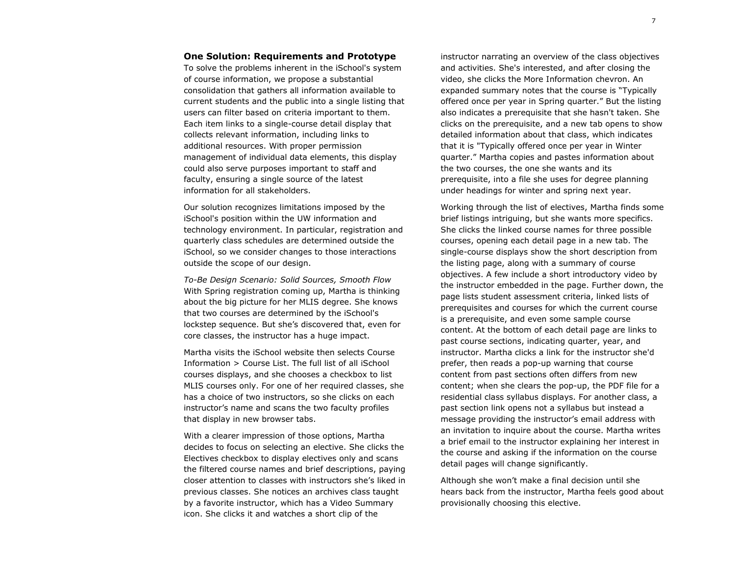#### **One Solution: Requirements and Prototype**

To solve the problems inherent in the iSchool's system of course information, we propose a substantial consolidation that gathers all information available to current students and the public into a single listing that users can filter based on criteria important to them. Each item links to a single-course detail display that collects relevant information, including links to additional resources. With proper permission management of individual data elements, this display could also serve purposes important to staff and faculty, ensuring a single source of the latest information for all stakeholders.

Our solution recognizes limitations imposed by the iSchool's position within the UW information and technology environment. In particular, registration and quarterly class schedules are determined outside the iSchool, so we consider changes to those interactions outside the scope of our design.

*To-Be Design Scenario: Solid Sources, Smooth Flow* With Spring registration coming up, Martha is thinking about the big picture for her MLIS degree. She knows that two courses are determined by the iSchool's lockstep sequence. But she's discovered that, even for core classes, the instructor has a huge impact.

Martha visits the iSchool website then selects Course Information > Course List. The full list of all iSchool courses displays, and she chooses a checkbox to list MLIS courses only. For one of her required classes, she has a choice of two instructors, so she clicks on each instructor's name and scans the two faculty profiles that display in new browser tabs.

With a clearer impression of those options, Martha decides to focus on selecting an elective. She clicks the Electives checkbox to display electives only and scans the filtered course names and brief descriptions, paying closer attention to classes with instructors she's liked in previous classes. She notices an archives class taught by a favorite instructor, which has a Video Summary icon. She clicks it and watches a short clip of the

instructor narrating an overview of the class objectives and activities. She's interested, and after closing the video, she clicks the More Information chevron. An expanded summary notes that the course is "Typically offered once per year in Spring quarter." But the listing also indicates a prerequisite that she hasn't taken. She clicks on the prerequisite, and a new tab opens to show detailed information about that class, which indicates that it is "Typically offered once per year in Winter quarter." Martha copies and pastes information about the two courses, the one she wants and its prerequisite, into a file she uses for degree planning under headings for winter and spring next year.

Working through the list of electives, Martha finds some brief listings intriguing, but she wants more specifics. She clicks the linked course names for three possible courses, opening each detail page in a new tab. The single-course displays show the short description from the listing page, along with a summary of course objectives. A few include a short introductory video by the instructor embedded in the page. Further down, the page lists student assessment criteria, linked lists of prerequisites and courses for which the current course is a prerequisite, and even some sample course content. At the bottom of each detail page are links to past course sections, indicating quarter, year, and instructor. Martha clicks a link for the instructor she'd prefer, then reads a pop-up warning that course content from past sections often differs from new content; when she clears the pop-up, the PDF file for a residential class syllabus displays. For another class, a past section link opens not a syllabus but instead a message providing the instructor's email address with an invitation to inquire about the course. Martha writes a brief email to the instructor explaining her interest in the course and asking if the information on the course detail pages will change significantly.

Although she won't make a final decision until she hears back from the instructor, Martha feels good about provisionally choosing this elective.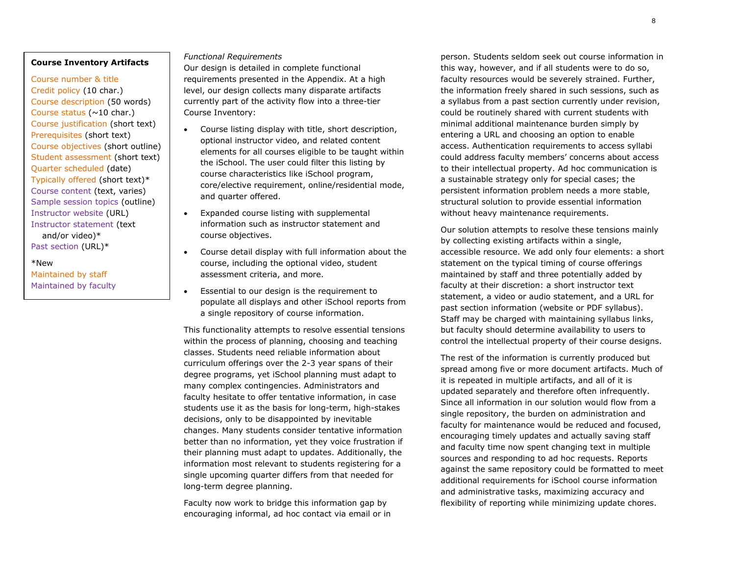#### **Course Inventory Artifacts**

Course number & title Credit policy (10 char.) Course description (50 words) Course status ( $~10$  char.) Course justification (short text) Prerequisites (short text) Course objectives (short outline) Student assessment (short text) Quarter scheduled (date) Typically offered (short text)\* Course content (text, varies) Sample session topics (outline) Instructor website (URL) Instructor statement (text and/or video)\* Past section (URL)\*

\*New Maintained by staff Maintained by faculty

#### *Functional Requirements*

Our design is detailed in complete functional requirements presented in the Appendix. At a high level, our design collects many disparate artifacts currently part of the activity flow into a three-tier Course Inventory:

- Course listing display with title, short description, optional instructor video, and related content elements for all courses eligible to be taught within the iSchool. The user could filter this listing by course characteristics like iSchool program, core/elective requirement, online/residential mode, and quarter offered.
- Expanded course listing with supplemental information such as instructor statement and course objectives.
- Course detail display with full information about the course, including the optional video, student assessment criteria, and more.
- Essential to our design is the requirement to populate all displays and other iSchool reports from a single repository of course information.

This functionality attempts to resolve essential tensions within the process of planning, choosing and teaching classes. Students need reliable information about curriculum offerings over the 2-3 year spans of their degree programs, yet iSchool planning must adapt to many complex contingencies. Administrators and faculty hesitate to offer tentative information, in case students use it as the basis for long-term, high-stakes decisions, only to be disappointed by inevitable changes. Many students consider tentative information better than no information, yet they voice frustration if their planning must adapt to updates. Additionally, the information most relevant to students registering for a single upcoming quarter differs from that needed for long-term degree planning.

Faculty now work to bridge this information gap by encouraging informal, ad hoc contact via email or in person. Students seldom seek out course information in this way, however, and if all students were to do so, faculty resources would be severely strained. Further, the information freely shared in such sessions, such as a syllabus from a past section currently under revision, could be routinely shared with current students with minimal additional maintenance burden simply by entering a URL and choosing an option to enable access. Authentication requirements to access syllabi could address faculty members' concerns about access to their intellectual property. Ad hoc communication is a sustainable strategy only for special cases; the persistent information problem needs a more stable, structural solution to provide essential information without heavy maintenance requirements.

Our solution attempts to resolve these tensions mainly by collecting existing artifacts within a single, accessible resource. We add only four elements: a short statement on the typical timing of course offerings maintained by staff and three potentially added by faculty at their discretion: a short instructor text statement, a video or audio statement, and a URL for past section information (website or PDF syllabus). Staff may be charged with maintaining syllabus links, but faculty should determine availability to users to control the intellectual property of their course designs.

The rest of the information is currently produced but spread among five or more document artifacts. Much of it is repeated in multiple artifacts, and all of it is updated separately and therefore often infrequently. Since all information in our solution would flow from a single repository, the burden on administration and faculty for maintenance would be reduced and focused, encouraging timely updates and actually saving staff and faculty time now spent changing text in multiple sources and responding to ad hoc requests. Reports against the same repository could be formatted to meet additional requirements for iSchool course information and administrative tasks, maximizing accuracy and flexibility of reporting while minimizing update chores.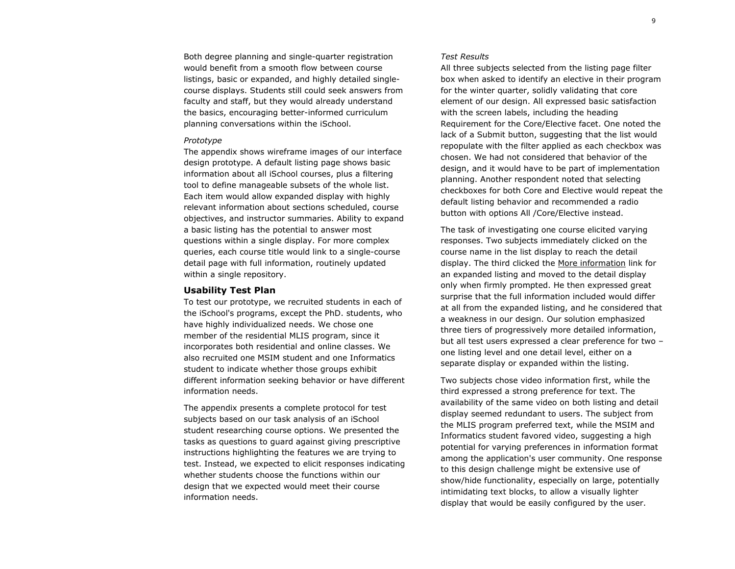Both degree planning and single-quarter registration would benefit from a smooth flow between course listings, basic or expanded, and highly detailed singlecourse displays. Students still could seek answers from faculty and staff, but they would already understand the basics, encouraging better-informed curriculum planning conversations within the iSchool.

#### *Prototype*

The appendix shows wireframe images of our interface design prototype. A default listing page shows basic information about all iSchool courses, plus a filtering tool to define manageable subsets of the whole list. Each item would allow expanded display with highly relevant information about sections scheduled, course objectives, and instructor summaries. Ability to expand a basic listing has the potential to answer most questions within a single display. For more complex queries, each course title would link to a single-course detail page with full information, routinely updated within a single repository.

#### **Usability Test Plan**

To test our prototype, we recruited students in each of the iSchool's programs, except the PhD. students, who have highly individualized needs. We chose one member of the residential MLIS program, since it incorporates both residential and online classes. We also recruited one MSIM student and one Informatics student to indicate whether those groups exhibit different information seeking behavior or have different information needs.

The appendix presents a complete protocol for test subjects based on our task analysis of an iSchool student researching course options. We presented the tasks as questions to guard against giving prescriptive instructions highlighting the features we are trying to test. Instead, we expected to elicit responses indicating whether students choose the functions within our design that we expected would meet their course information needs.

#### *Test Results*

All three subjects selected from the listing page filter box when asked to identify an elective in their program for the winter quarter, solidly validating that core element of our design. All expressed basic satisfaction with the screen labels, including the heading Requirement for the Core/Elective facet. One noted the lack of a Submit button, suggesting that the list would repopulate with the filter applied as each checkbox was chosen. We had not considered that behavior of the design, and it would have to be part of implementation planning. Another respondent noted that selecting checkboxes for both Core and Elective would repeat the default listing behavior and recommended a radio button with options All /Core/Elective instead.

The task of investigating one course elicited varying responses. Two subjects immediately clicked on the course name in the list display to reach the detail display. The third clicked the More information link for an expanded listing and moved to the detail display only when firmly prompted. He then expressed great surprise that the full information included would differ at all from the expanded listing, and he considered that a weakness in our design. Our solution emphasized three tiers of progressively more detailed information, but all test users expressed a clear preference for two – one listing level and one detail level, either on a separate display or expanded within the listing.

Two subjects chose video information first, while the third expressed a strong preference for text. The availability of the same video on both listing and detail display seemed redundant to users. The subject from the MLIS program preferred text, while the MSIM and Informatics student favored video, suggesting a high potential for varying preferences in information format among the application's user community. One response to this design challenge might be extensive use of show/hide functionality, especially on large, potentially intimidating text blocks, to allow a visually lighter display that would be easily configured by the user.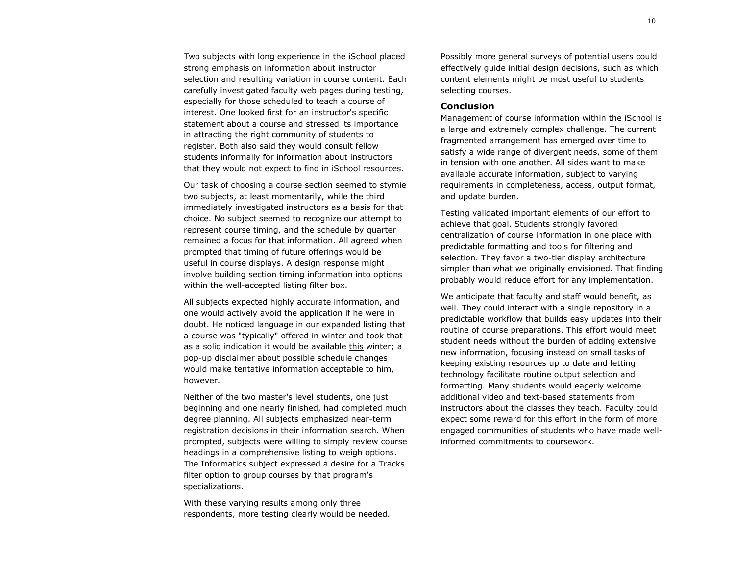Two subjects with long experience in the iSchool placed strong emphasis on information about instructor selection and resulting variation in course content. Each carefully investigated faculty web pages during testing, especially for those scheduled to teach a course of interest. One looked first for an instructor's specific statement about a course and stressed its importance in attracting the right community of students to register. Both also said they would consult fellow students informally for information about instructors that they would not expect to find in iSchool resources.

Our task of choosing a course section seemed to stymie two subjects, at least momentarily, while the third immediately investigated instructors as a basis for that choice. No subject seemed to recognize our attempt to represent course timing, and the schedule by quarter remained a focus for that information. All agreed when prompted that timing of future offerings would be useful in course displays. A design response might involve building section timing information into options within the well-accepted listing filter box.

All subjects expected highly accurate information, and one would actively avoid the application if he were in doubt. He noticed language in our expanded listing that a course was "typically" offered in winter and took that as a solid indication it would be available this winter; a pop-up disclaimer about possible schedule changes would make tentative information acceptable to him, however.

Neither of the two master's level students, one just beginning and one nearly finished, had completed much degree planning. All subjects emphasized near-term registration decisions in their information search. When prompted, subjects were willing to simply review course headings in a comprehensive listing to weigh options. The Informatics subject expressed a desire for a Tracks filter option to group courses by that program's specializations.

With these varying results among only three respondents, more testing clearly would be needed. Possibly more general surveys of potential users could effectively guide initial design decisions, such as which content elements might be most useful to students selecting courses.

#### **Conclusion**

Management of course information within the iSchool is a large and extremely complex challenge. The current fragmented arrangement has emerged over time to satisfy a wide range of divergent needs, some of them in tension with one another. All sides want to make available accurate information, subject to varying requirements in completeness, access, output format, and update burden.

Testing validated important elements of our effort to achieve that goal. Students strongly favored centralization of course information in one place with predictable formatting and tools for filtering and selection. They favor a two-tier display architecture simpler than what we originally envisioned. That finding probably would reduce effort for any implementation.

We anticipate that faculty and staff would benefit, as well. They could interact with a single repository in a predictable workflow that builds easy updates into their routine of course preparations. This effort would meet student needs without the burden of adding extensive new information, focusing instead on small tasks of keeping existing resources up to date and letting technology facilitate routine output selection and formatting. Many students would eagerly welcome additional video and text-based statements from instructors about the classes they teach. Faculty could expect some reward for this effort in the form of more engaged communities of students who have made wellinformed commitments to coursework.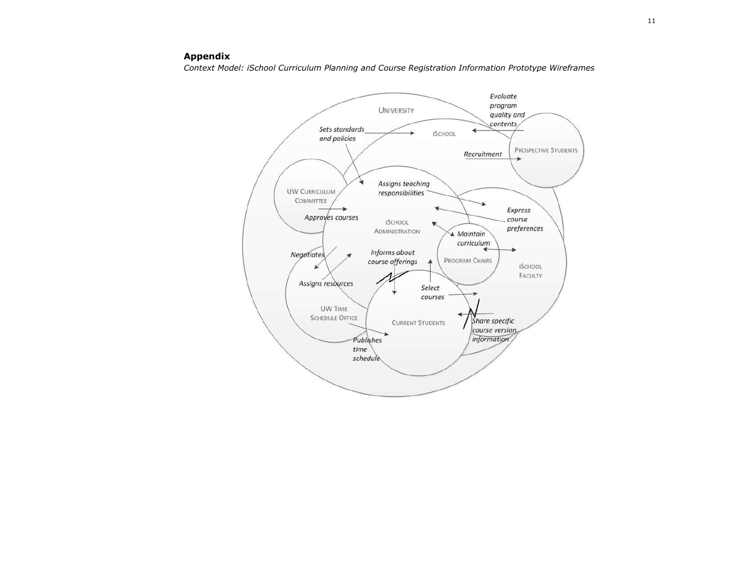# **Appendix**

*Context Model: iSchool Curriculum Planning and Course Registration Information Prototype Wireframes*

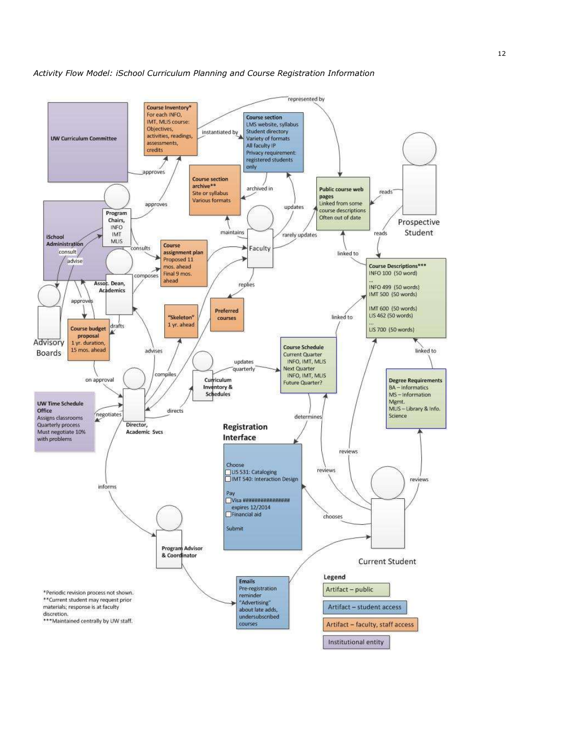

*Activity Flow Model: iSchool Curriculum Planning and Course Registration Information*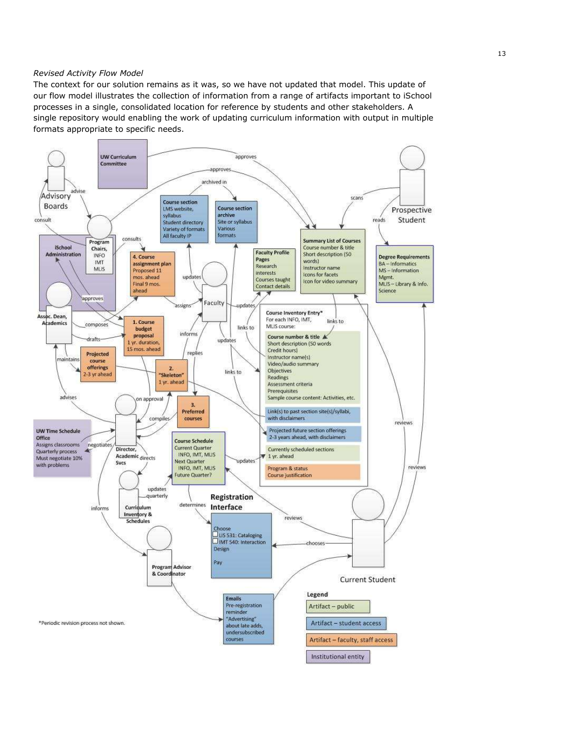#### *Revised Activity Flow Model*

The context for our solution remains as it was, so we have not updated that model. This update of our flow model illustrates the collection of information from a range of artifacts important to iSchool processes in a single, consolidated location for reference by students and other stakeholders. A single repository would enabling the work of updating curriculum information with output in multiple formats appropriate to specific needs.

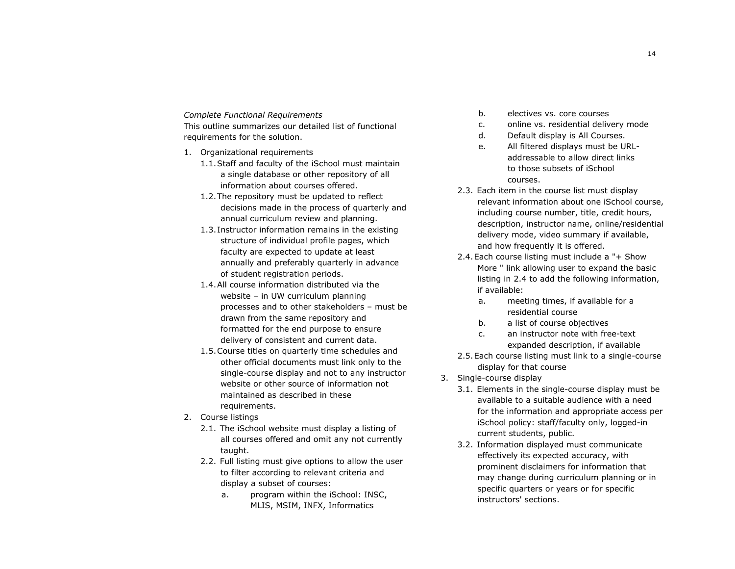#### *Complete Functional Requirements*

This outline summarizes our detailed list of functional requirements for the solution.

- 1. Organizational requirements
	- 1.1.Staff and faculty of the iSchool must maintain a single database or other repository of all information about courses offered.
	- 1.2.The repository must be updated to reflect decisions made in the process of quarterly and annual curriculum review and planning.
	- 1.3. Instructor information remains in the existing structure of individual profile pages, which faculty are expected to update at least annually and preferably quarterly in advance of student registration periods.
	- 1.4.All course information distributed via the website – in UW curriculum planning processes and to other stakeholders – must be drawn from the same repository and formatted for the end purpose to ensure delivery of consistent and current data.
	- 1.5.Course titles on quarterly time schedules and other official documents must link only to the single-course display and not to any instructor website or other source of information not maintained as described in these requirements.
- 2. Course listings
	- 2.1. The iSchool website must display a listing of all courses offered and omit any not currently taught.
	- 2.2. Full listing must give options to allow the user to filter according to relevant criteria and display a subset of courses:
		- a. program within the iSchool: INSC, MLIS, MSIM, INFX, Informatics
- b. electives vs. core courses
- c. online vs. residential delivery mode
- d. Default display is All Courses.
- e. All filtered displays must be URLaddressable to allow direct links to those subsets of iSchool courses.
- 2.3. Each item in the course list must display relevant information about one iSchool course, including course number, title, credit hours, description, instructor name, online/residential delivery mode, video summary if available, and how frequently it is offered.
- 2.4.Each course listing must include a "+ Show More " link allowing user to expand the basic listing in 2.4 to add the following information, if available:
	- a. meeting times, if available for a residential course
	- b. a list of course objectives
	- c. an instructor note with free-text expanded description, if available
- 2.5.Each course listing must link to a single-course display for that course
- 3. Single-course display
	- 3.1. Elements in the single-course display must be available to a suitable audience with a need for the information and appropriate access per iSchool policy: staff/faculty only, logged-in current students, public.
	- 3.2. Information displayed must communicate effectively its expected accuracy, with prominent disclaimers for information that may change during curriculum planning or in specific quarters or years or for specific instructors' sections.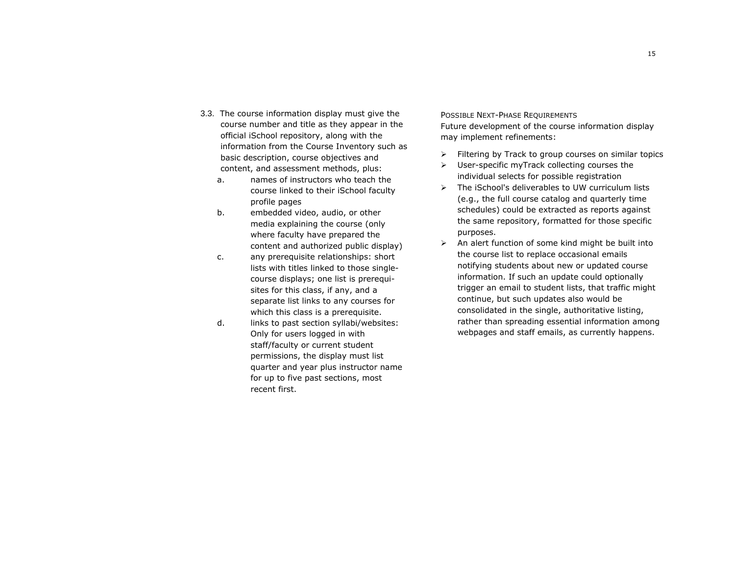3.3. The course information display must give the course number and title as they appear in the official iSchool repository, along with the information from the Course Inventory such as basic description, course objectives and

content, and assessment methods, plus:

- a. names of instructors who teach the course linked to their iSchool faculty profile pages
- b. embedded video, audio, or other media explaining the course (only where faculty have prepared the content and authorized public display)
- c. any prerequisite relationships: short lists with titles linked to those singlecourse displays; one list is prerequisites for this class, if any, and a separate list links to any courses for which this class is a prerequisite.
- d. links to past section syllabi/websites: Only for users logged in with staff/faculty or current student permissions, the display must list quarter and year plus instructor name for up to five past sections, most recent first.

# POSSIBLE NEXT-PHASE REQUIREMENTS

Future development of the course information display may implement refinements:

- $\triangleright$  Filtering by Track to group courses on similar topics
- $\triangleright$  User-specific myTrack collecting courses the individual selects for possible registration
- $\triangleright$  The iSchool's deliverables to UW curriculum lists (e.g., the full course catalog and quarterly time schedules) could be extracted as reports against the same repository, formatted for those specific purposes.
- $\triangleright$  An alert function of some kind might be built into the course list to replace occasional emails notifying students about new or updated course information. If such an update could optionally trigger an email to student lists, that traffic might continue, but such updates also would be consolidated in the single, authoritative listing, rather than spreading essential information among webpages and staff emails, as currently happens.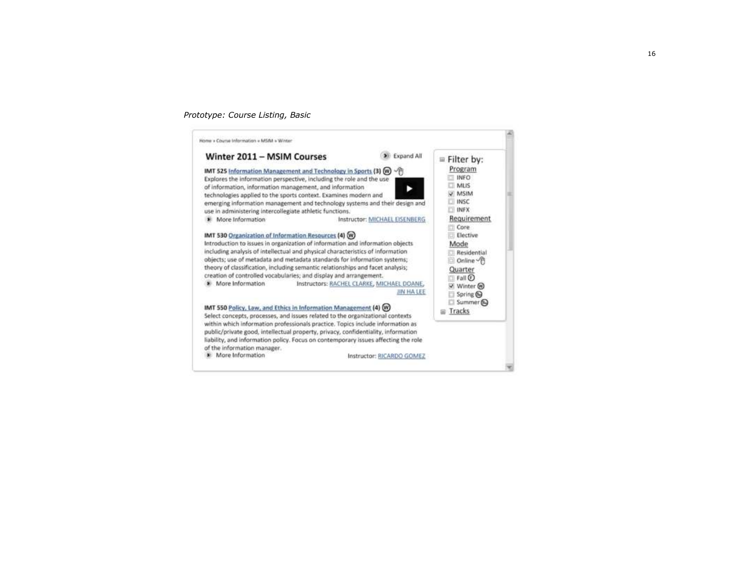#### *Prototype: Course Listing, Basic*

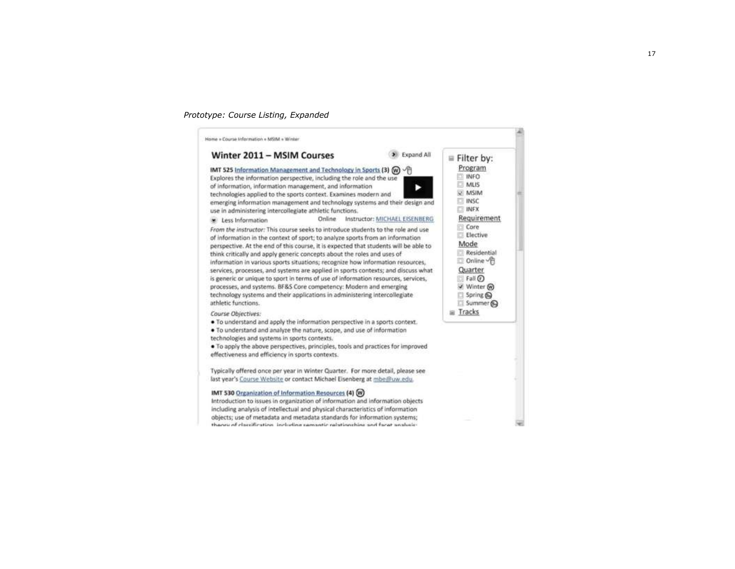#### *Prototype: Course Listing, Expanded*

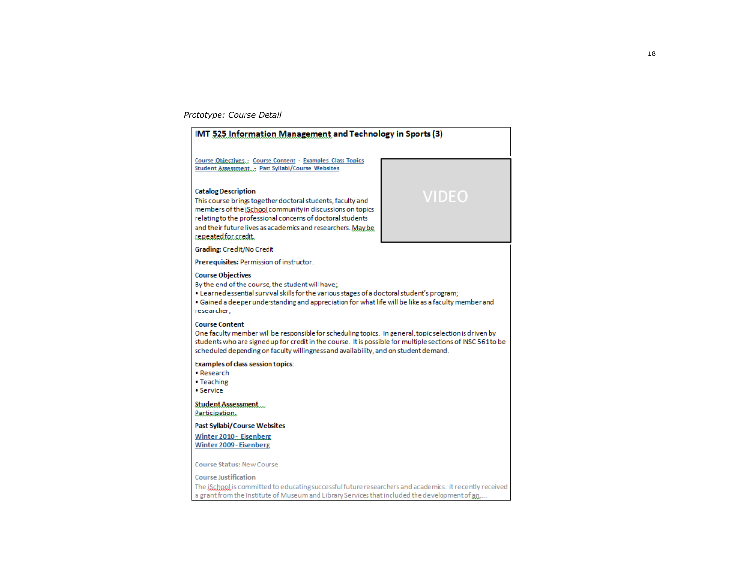#### *Prototype: Course Detail*



a grant from the Institute of Museum and Library Services that included the development of an...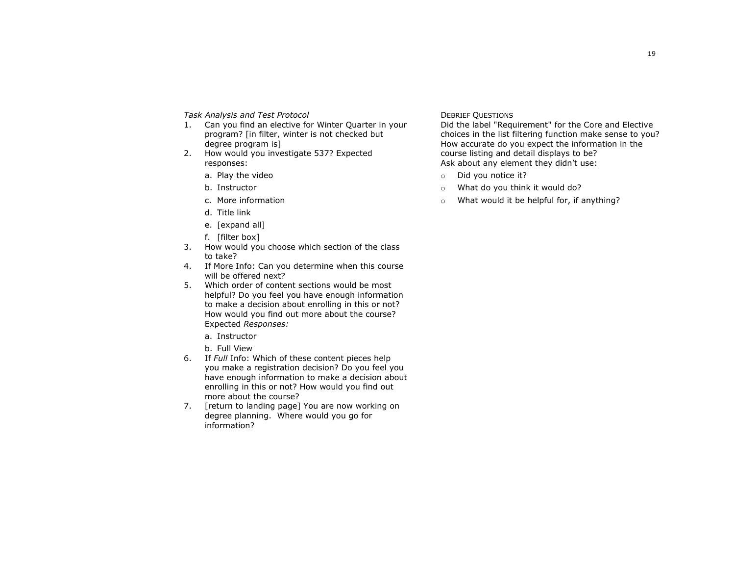*Task Analysis and Test Protocol*

- 1. Can you find an elective for Winter Quarter in your program? [in filter, winter is not checked but degree program is]
- 2. How would you investigate 537? Expected responses:
	- a. Play the video
	- b. Instructor
	- c. More information
	- d. Title link
	- e. [expand all]
	- f. [filter box]
- 3. How would you choose which section of the class to take?
- 4. If More Info: Can you determine when this course will be offered next?
- 5. Which order of content sections would be most helpful? Do you feel you have enough information to make a decision about enrolling in this or not? How would you find out more about the course? Expected *Responses:*
	- a. Instructor
	- b. Full View
- 6. If *Full* Info: Which of these content pieces help you make a registration decision? Do you feel you have enough information to make a decision about enrolling in this or not? How would you find out more about the course?
- 7. [return to landing page] You are now working on degree planning. Where would you go for information?

#### DEBRIEF QUESTIONS

Did the label "Requirement" for the Core and Elective choices in the list filtering function make sense to you? How accurate do you expect the information in the course listing and detail displays to be? Ask about any element they didn't use:

- o Did you notice it?
- o What do you think it would do?
- o What would it be helpful for, if anything?